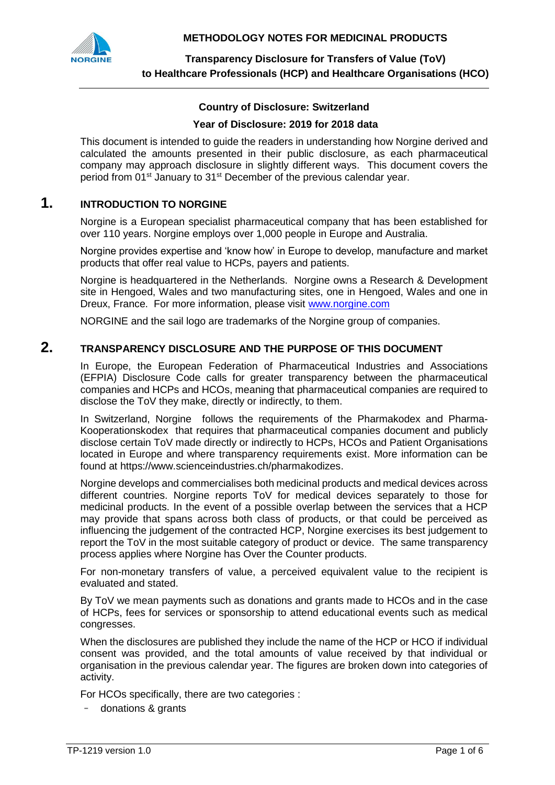

### **Country of Disclosure: Switzerland**

#### **Year of Disclosure: 2019 for 2018 data**

This document is intended to guide the readers in understanding how Norgine derived and calculated the amounts presented in their public disclosure, as each pharmaceutical company may approach disclosure in slightly different ways. This document covers the period from 01<sup>st</sup> January to 31<sup>st</sup> December of the previous calendar year.

# **1. INTRODUCTION TO NORGINE**

Norgine is a European specialist pharmaceutical company that has been established for over 110 years. Norgine employs over 1,000 people in Europe and Australia.

Norgine provides expertise and 'know how' in Europe to develop, manufacture and market products that offer real value to HCPs, payers and patients.

Norgine is headquartered in the Netherlands. Norgine owns a Research & Development site in Hengoed, Wales and two manufacturing sites, one in Hengoed, Wales and one in Dreux, France. For more information, please visit [www.norgine.com](http://www.norgine.com/)

NORGINE and the sail logo are trademarks of the Norgine group of companies.

## **2. TRANSPARENCY DISCLOSURE AND THE PURPOSE OF THIS DOCUMENT**

In Europe, the European Federation of Pharmaceutical Industries and Associations (EFPIA) Disclosure Code calls for greater transparency between the pharmaceutical companies and HCPs and HCOs, meaning that pharmaceutical companies are required to disclose the ToV they make, directly or indirectly, to them.

In Switzerland, Norgine follows the requirements of the Pharmakodex and Pharma-Kooperationskodex that requires that pharmaceutical companies document and publicly disclose certain ToV made directly or indirectly to HCPs, HCOs and Patient Organisations located in Europe and where transparency requirements exist. More information can be found at https://www.scienceindustries.ch/pharmakodizes.

Norgine develops and commercialises both medicinal products and medical devices across different countries. Norgine reports ToV for medical devices separately to those for medicinal products. In the event of a possible overlap between the services that a HCP may provide that spans across both class of products, or that could be perceived as influencing the judgement of the contracted HCP, Norgine exercises its best judgement to report the ToV in the most suitable category of product or device. The same transparency process applies where Norgine has Over the Counter products.

For non-monetary transfers of value, a perceived equivalent value to the recipient is evaluated and stated.

By ToV we mean payments such as donations and grants made to HCOs and in the case of HCPs, fees for services or sponsorship to attend educational events such as medical congresses.

When the disclosures are published they include the name of the HCP or HCO if individual consent was provided, and the total amounts of value received by that individual or organisation in the previous calendar year. The figures are broken down into categories of activity.

For HCOs specifically, there are two categories :

- donations & grants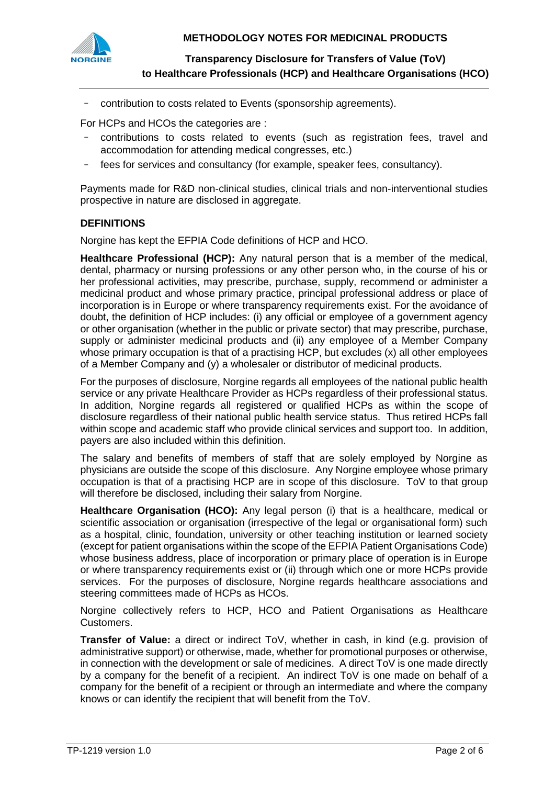**METHODOLOGY NOTES FOR MEDICINAL PRODUCTS**



**Transparency Disclosure for Transfers of Value (ToV) to Healthcare Professionals (HCP) and Healthcare Organisations (HCO)**

- contribution to costs related to Events (sponsorship agreements).

For HCPs and HCOs the categories are :

- contributions to costs related to events (such as registration fees, travel and accommodation for attending medical congresses, etc.)
- fees for services and consultancy (for example, speaker fees, consultancy).

Payments made for R&D non-clinical studies, clinical trials and non-interventional studies prospective in nature are disclosed in aggregate.

#### **DEFINITIONS**

Norgine has kept the EFPIA Code definitions of HCP and HCO.

**Healthcare Professional (HCP):** Any natural person that is a member of the medical, dental, pharmacy or nursing professions or any other person who, in the course of his or her professional activities, may prescribe, purchase, supply, recommend or administer a medicinal product and whose primary practice, principal professional address or place of incorporation is in Europe or where transparency requirements exist. For the avoidance of doubt, the definition of HCP includes: (i) any official or employee of a government agency or other organisation (whether in the public or private sector) that may prescribe, purchase, supply or administer medicinal products and (ii) any employee of a Member Company whose primary occupation is that of a practising HCP, but excludes (x) all other employees of a Member Company and (y) a wholesaler or distributor of medicinal products.

For the purposes of disclosure, Norgine regards all employees of the national public health service or any private Healthcare Provider as HCPs regardless of their professional status. In addition, Norgine regards all registered or qualified HCPs as within the scope of disclosure regardless of their national public health service status. Thus retired HCPs fall within scope and academic staff who provide clinical services and support too. In addition, payers are also included within this definition.

The salary and benefits of members of staff that are solely employed by Norgine as physicians are outside the scope of this disclosure. Any Norgine employee whose primary occupation is that of a practising HCP are in scope of this disclosure. ToV to that group will therefore be disclosed, including their salary from Norgine.

**Healthcare Organisation (HCO):** Any legal person (i) that is a healthcare, medical or scientific association or organisation (irrespective of the legal or organisational form) such as a hospital, clinic, foundation, university or other teaching institution or learned society (except for patient organisations within the scope of the EFPIA Patient Organisations Code) whose business address, place of incorporation or primary place of operation is in Europe or where transparency requirements exist or (ii) through which one or more HCPs provide services. For the purposes of disclosure, Norgine regards healthcare associations and steering committees made of HCPs as HCOs.

Norgine collectively refers to HCP, HCO and Patient Organisations as Healthcare Customers.

**Transfer of Value:** a direct or indirect ToV, whether in cash, in kind (e.g. provision of administrative support) or otherwise, made, whether for promotional purposes or otherwise, in connection with the development or sale of medicines. A direct ToV is one made directly by a company for the benefit of a recipient. An indirect ToV is one made on behalf of a company for the benefit of a recipient or through an intermediate and where the company knows or can identify the recipient that will benefit from the ToV.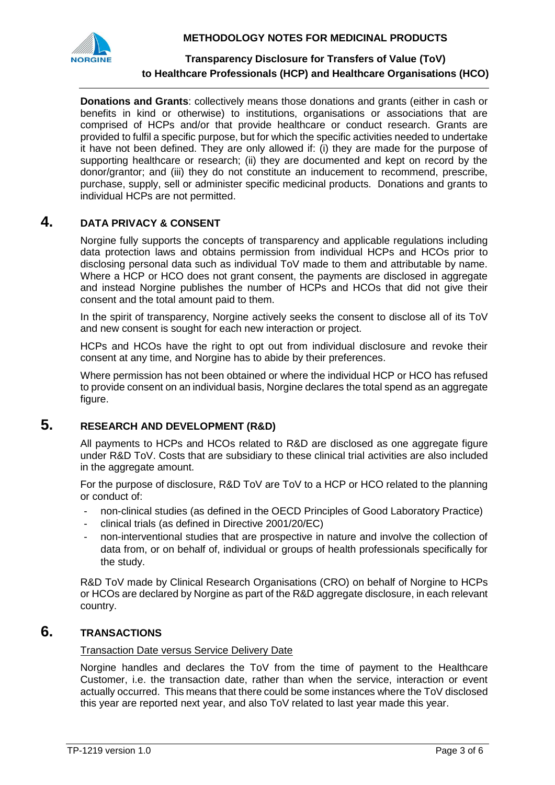**METHODOLOGY NOTES FOR MEDICINAL PRODUCTS**



### **Transparency Disclosure for Transfers of Value (ToV) to Healthcare Professionals (HCP) and Healthcare Organisations (HCO)**

**Donations and Grants**: collectively means those donations and grants (either in cash or benefits in kind or otherwise) to institutions, organisations or associations that are comprised of HCPs and/or that provide healthcare or conduct research. Grants are provided to fulfil a specific purpose, but for which the specific activities needed to undertake it have not been defined. They are only allowed if: (i) they are made for the purpose of supporting healthcare or research; (ii) they are documented and kept on record by the donor/grantor; and (iii) they do not constitute an inducement to recommend, prescribe, purchase, supply, sell or administer specific medicinal products. Donations and grants to individual HCPs are not permitted.

# **4. DATA PRIVACY & CONSENT**

Norgine fully supports the concepts of transparency and applicable regulations including data protection laws and obtains permission from individual HCPs and HCOs prior to disclosing personal data such as individual ToV made to them and attributable by name. Where a HCP or HCO does not grant consent, the payments are disclosed in aggregate and instead Norgine publishes the number of HCPs and HCOs that did not give their consent and the total amount paid to them.

In the spirit of transparency. Norgine actively seeks the consent to disclose all of its ToV and new consent is sought for each new interaction or project.

HCPs and HCOs have the right to opt out from individual disclosure and revoke their consent at any time, and Norgine has to abide by their preferences.

Where permission has not been obtained or where the individual HCP or HCO has refused to provide consent on an individual basis, Norgine declares the total spend as an aggregate figure.

# **5. RESEARCH AND DEVELOPMENT (R&D)**

All payments to HCPs and HCOs related to R&D are disclosed as one aggregate figure under R&D ToV. Costs that are subsidiary to these clinical trial activities are also included in the aggregate amount.

For the purpose of disclosure, R&D ToV are ToV to a HCP or HCO related to the planning or conduct of:

- non-clinical studies (as defined in the OECD Principles of Good Laboratory Practice)
- clinical trials (as defined in Directive 2001/20/EC)
- non-interventional studies that are prospective in nature and involve the collection of data from, or on behalf of, individual or groups of health professionals specifically for the study.

R&D ToV made by Clinical Research Organisations (CRO) on behalf of Norgine to HCPs or HCOs are declared by Norgine as part of the R&D aggregate disclosure, in each relevant country.

# **6. TRANSACTIONS**

### Transaction Date versus Service Delivery Date

Norgine handles and declares the ToV from the time of payment to the Healthcare Customer, i.e. the transaction date, rather than when the service, interaction or event actually occurred. This means that there could be some instances where the ToV disclosed this year are reported next year, and also ToV related to last year made this year.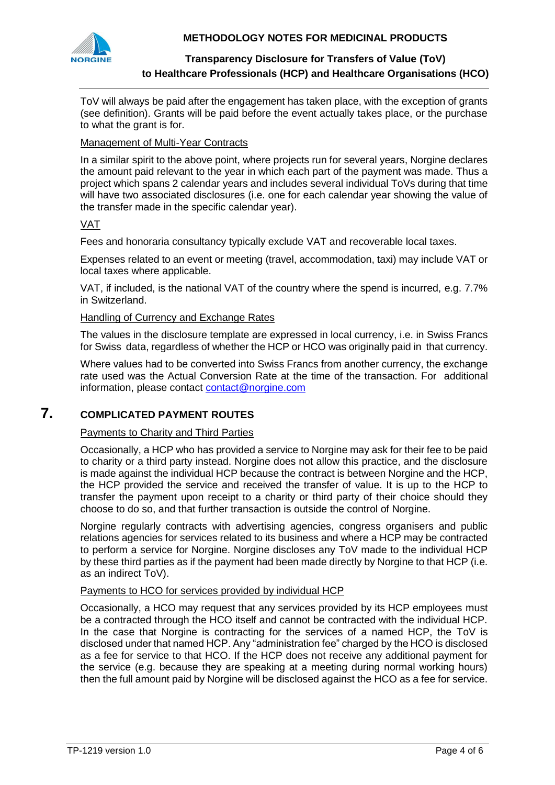

### **METHODOLOGY NOTES FOR MEDICINAL PRODUCTS**

## **Transparency Disclosure for Transfers of Value (ToV) to Healthcare Professionals (HCP) and Healthcare Organisations (HCO)**

ToV will always be paid after the engagement has taken place, with the exception of grants (see definition). Grants will be paid before the event actually takes place, or the purchase to what the grant is for.

### Management of Multi-Year Contracts

In a similar spirit to the above point, where projects run for several years, Norgine declares the amount paid relevant to the year in which each part of the payment was made. Thus a project which spans 2 calendar years and includes several individual ToVs during that time will have two associated disclosures (i.e. one for each calendar year showing the value of the transfer made in the specific calendar year).

### VAT

Fees and honoraria consultancy typically exclude VAT and recoverable local taxes.

Expenses related to an event or meeting (travel, accommodation, taxi) may include VAT or local taxes where applicable.

VAT, if included, is the national VAT of the country where the spend is incurred, e.g. 7.7% in Switzerland.

#### Handling of Currency and Exchange Rates

The values in the disclosure template are expressed in local currency, i.e. in Swiss Francs for Swiss data, regardless of whether the HCP or HCO was originally paid in that currency.

Where values had to be converted into Swiss Francs from another currency, the exchange rate used was the Actual Conversion Rate at the time of the transaction. For additional information, please contact [contact@norgine.com](mailto:contact@norgine.com)

# **7. COMPLICATED PAYMENT ROUTES**

### Payments to Charity and Third Parties

Occasionally, a HCP who has provided a service to Norgine may ask for their fee to be paid to charity or a third party instead. Norgine does not allow this practice, and the disclosure is made against the individual HCP because the contract is between Norgine and the HCP, the HCP provided the service and received the transfer of value. It is up to the HCP to transfer the payment upon receipt to a charity or third party of their choice should they choose to do so, and that further transaction is outside the control of Norgine.

Norgine regularly contracts with advertising agencies, congress organisers and public relations agencies for services related to its business and where a HCP may be contracted to perform a service for Norgine. Norgine discloses any ToV made to the individual HCP by these third parties as if the payment had been made directly by Norgine to that HCP (i.e. as an indirect ToV).

#### Payments to HCO for services provided by individual HCP

Occasionally, a HCO may request that any services provided by its HCP employees must be a contracted through the HCO itself and cannot be contracted with the individual HCP. In the case that Norgine is contracting for the services of a named HCP, the ToV is disclosed under that named HCP. Any "administration fee" charged by the HCO is disclosed as a fee for service to that HCO. If the HCP does not receive any additional payment for the service (e.g. because they are speaking at a meeting during normal working hours) then the full amount paid by Norgine will be disclosed against the HCO as a fee for service.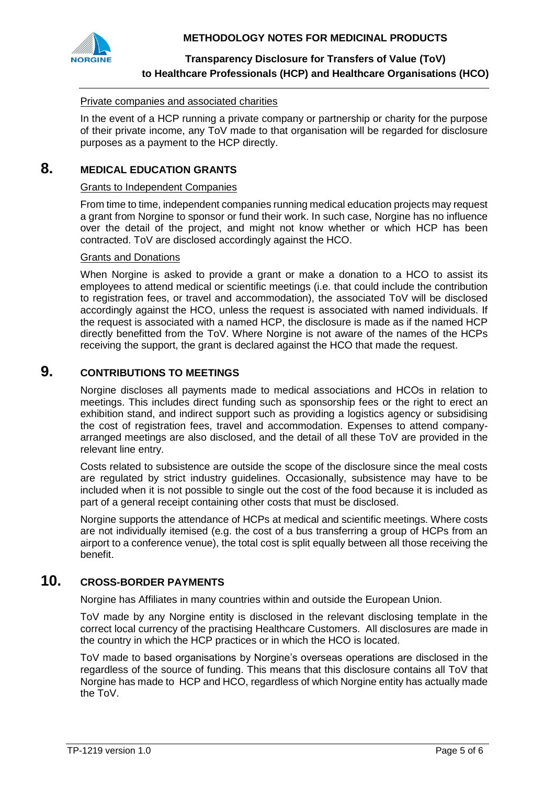



# **Transparency Disclosure for Transfers of Value (ToV) to Healthcare Professionals (HCP) and Healthcare Organisations (HCO)**

#### Private companies and associated charities

In the event of a HCP running a private company or partnership or charity for the purpose of their private income, any ToV made to that organisation will be regarded for disclosure purposes as a payment to the HCP directly.

# **8. MEDICAL EDUCATION GRANTS**

#### Grants to Independent Companies

From time to time, independent companies running medical education projects may request a grant from Norgine to sponsor or fund their work. In such case, Norgine has no influence over the detail of the project, and might not know whether or which HCP has been contracted. ToV are disclosed accordingly against the HCO.

#### Grants and Donations

When Norgine is asked to provide a grant or make a donation to a HCO to assist its employees to attend medical or scientific meetings (i.e. that could include the contribution to registration fees, or travel and accommodation), the associated ToV will be disclosed accordingly against the HCO, unless the request is associated with named individuals. If the request is associated with a named HCP, the disclosure is made as if the named HCP directly benefitted from the ToV. Where Norgine is not aware of the names of the HCPs receiving the support, the grant is declared against the HCO that made the request.

### **9. CONTRIBUTIONS TO MEETINGS**

Norgine discloses all payments made to medical associations and HCOs in relation to meetings. This includes direct funding such as sponsorship fees or the right to erect an exhibition stand, and indirect support such as providing a logistics agency or subsidising the cost of registration fees, travel and accommodation. Expenses to attend companyarranged meetings are also disclosed, and the detail of all these ToV are provided in the relevant line entry.

Costs related to subsistence are outside the scope of the disclosure since the meal costs are regulated by strict industry guidelines. Occasionally, subsistence may have to be included when it is not possible to single out the cost of the food because it is included as part of a general receipt containing other costs that must be disclosed.

Norgine supports the attendance of HCPs at medical and scientific meetings. Where costs are not individually itemised (e.g. the cost of a bus transferring a group of HCPs from an airport to a conference venue), the total cost is split equally between all those receiving the benefit.

# **10. CROSS-BORDER PAYMENTS**

Norgine has Affiliates in many countries within and outside the European Union.

ToV made by any Norgine entity is disclosed in the relevant disclosing template in the correct local currency of the practising Healthcare Customers. All disclosures are made in the country in which the HCP practices or in which the HCO is located.

ToV made to based organisations by Norgine's overseas operations are disclosed in the regardless of the source of funding. This means that this disclosure contains all ToV that Norgine has made to HCP and HCO, regardless of which Norgine entity has actually made the ToV.